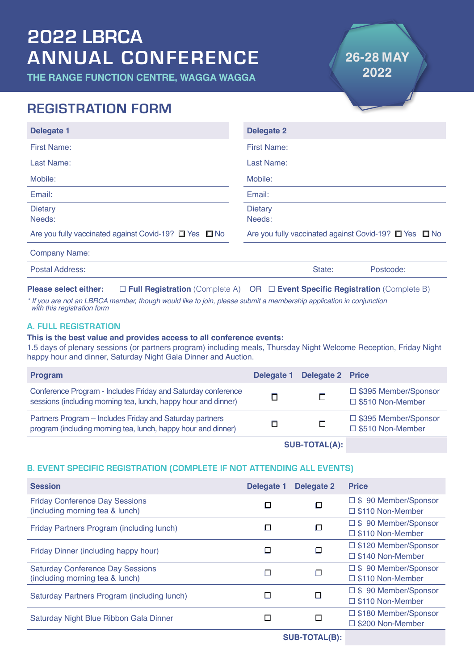# 2022 LBRCA ANNUAL CONFERENCE

**THE RANGE FUNCTION CENTRE, WAGGA WAGGA**

## **26-28 MAY 2022**

## REGISTRATION FORM

| Delegate 1                                            | <b>Delegate 2</b>                                     |
|-------------------------------------------------------|-------------------------------------------------------|
| <b>First Name:</b>                                    | <b>First Name:</b>                                    |
| Last Name:                                            | Last Name:                                            |
| Mobile:                                               | Mobile:                                               |
| Email:                                                | Email:                                                |
| <b>Dietary</b><br>Needs:                              | <b>Dietary</b><br>Needs:                              |
| Are you fully vaccinated against Covid-19? □ Yes □ No | Are you fully vaccinated against Covid-19? □ Yes □ No |
| <b>Company Name:</b>                                  |                                                       |

Postal Address: Note and State: Postal Address: Note and State: Postcode: Postcode: Postcode: Postcode: Postcode: Postcode: Postcode: Postcode: Postcode: Postcode: Postcode: Postcode: Postcode: Postcode: Postcode: Postcode

**Please select either: Full Registration** (Complete A) OR  **Event Specific Registration** (Complete B)

*\* If you are not an LBRCA member, though would like to join, please submit a membership application in conjunction with this registration form*

### A. FULL REGISTRATION

#### **This is the best value and provides access to all conference events:**

1.5 days of plenary sessions (or partners program) including meals, Thursday Night Welcome Reception, Friday Night happy hour and dinner, Saturday Night Gala Dinner and Auction.

|  | □ \$395 Member/Sponsor<br>□ \$510 Non-Member |
|--|----------------------------------------------|
|  | □ \$395 Member/Sponsor<br>□ \$510 Non-Member |
|  | Delegate 1 Delegate 2 Price                  |

**SUB-TOTAL(A):** 

#### B. EVENT SPECIFIC REGISTRATION (COMPLETE IF NOT ATTENDING ALL EVENTS)

| <b>Session</b>                                                             | <b>Delegate 1</b> | Delegate 2 | <b>Price</b>                                      |
|----------------------------------------------------------------------------|-------------------|------------|---------------------------------------------------|
| <b>Friday Conference Day Sessions</b><br>(including morning tea & lunch)   | □                 | ◻          | □ \$ 90 Member/Sponsor<br>$\Box$ \$110 Non-Member |
| Friday Partners Program (including lunch)                                  | □                 | ◻          | □ \$ 90 Member/Sponsor<br>□ \$110 Non-Member      |
| Friday Dinner (including happy hour)                                       | □                 | П          | □ \$120 Member/Sponsor<br>□ \$140 Non-Member      |
| <b>Saturday Conference Day Sessions</b><br>(including morning tea & lunch) | □                 | ◻          | □ \$ 90 Member/Sponsor<br>□ \$110 Non-Member      |
| Saturday Partners Program (including lunch)                                | ◻                 | П          | □ \$ 90 Member/Sponsor<br>□ \$110 Non-Member      |
| Saturday Night Blue Ribbon Gala Dinner                                     | $\Box$            |            | □ \$180 Member/Sponsor<br>□ \$200 Non-Member      |